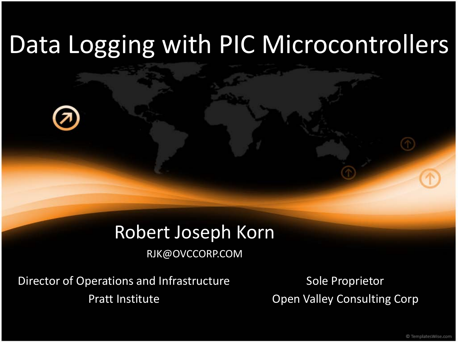#### Robert Joseph Korn

RJK@OVCCORP.COM

Director of Operations and Infrastructure Pratt Institute

Sole Proprietor Open Valley Consulting Corp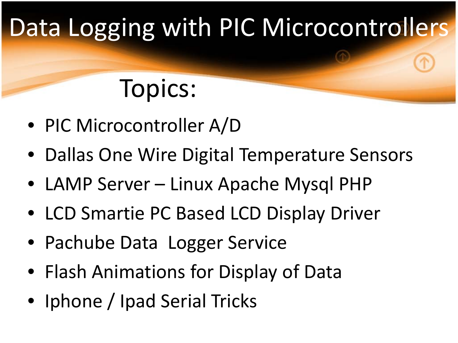# Topics:

- PIC Microcontroller A/D
- Dallas One Wire Digital Temperature Sensors
- LAMP Server Linux Apache Mysql PHP
- LCD Smartie PC Based LCD Display Driver
- Pachube Data Logger Service
- Flash Animations for Display of Data
- Iphone / Ipad Serial Tricks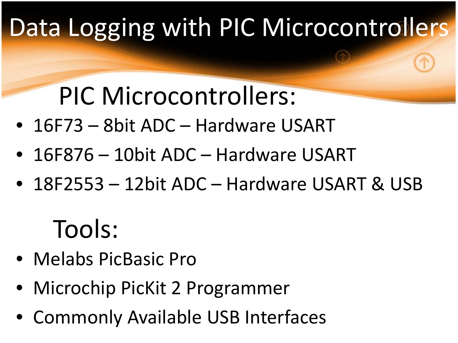# PIC Microcontrollers:

- 16F73 8bit ADC Hardware USART
- 16F876 10bit ADC Hardware USART
- 18F2553 12bit ADC Hardware USART & USB

# Tools:

- Melabs PicBasic Pro
- Microchip PicKit 2 Programmer
- Commonly Available USB Interfaces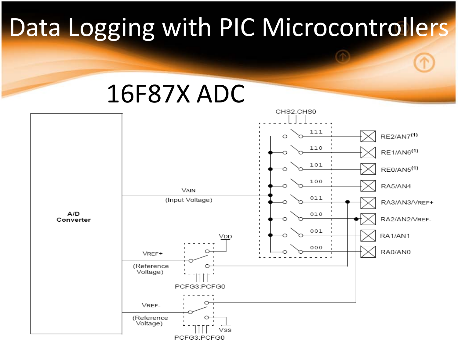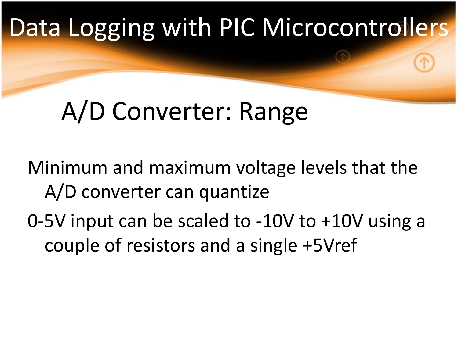# A/D Converter: Range

Minimum and maximum voltage levels that the A/D converter can quantize

0-5V input can be scaled to -10V to +10V using a couple of resistors and a single +5Vref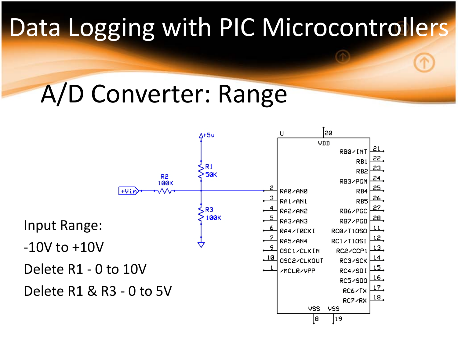# A/D Converter: Range

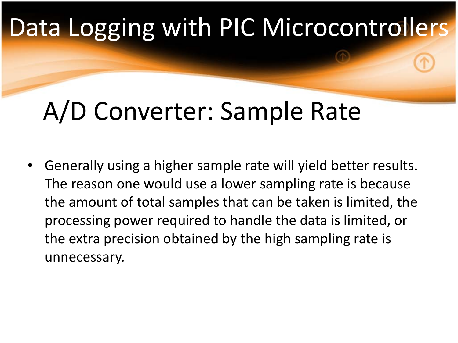# A/D Converter: Sample Rate

• Generally using a higher sample rate will yield better results. The reason one would use a lower sampling rate is because the amount of total samples that can be taken is limited, the processing power required to handle the data is limited, or the extra precision obtained by the high sampling rate is unnecessary.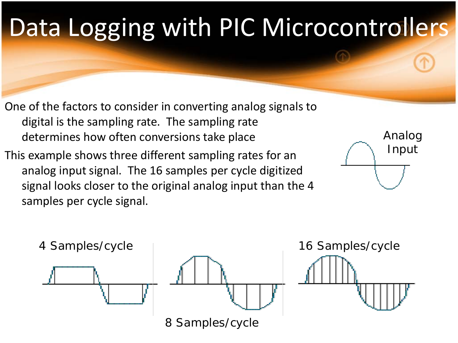- One of the factors to consider in converting analog signals to digital is the sampling rate. The sampling rate determines how often conversions take place
- This example shows three different sampling rates for an analog input signal. The 16 samples per cycle digitized signal looks closer to the original analog input than the 4 samples per cycle signal.



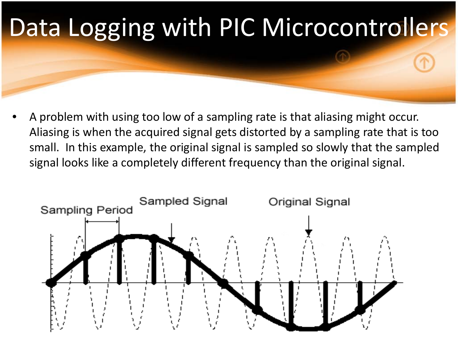

• A problem with using too low of a sampling rate is that aliasing might occur. Aliasing is when the acquired signal gets distorted by a sampling rate that is too small. In this example, the original signal is sampled so slowly that the sampled signal looks like a completely different frequency than the original signal.

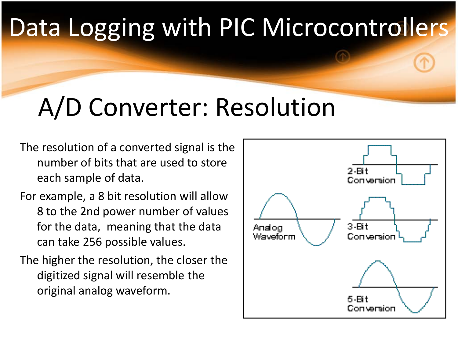# A/D Converter: Resolution

- The resolution of a converted signal is the number of bits that are used to store each sample of data.
- For example, a 8 bit resolution will allow 8 to the 2nd power number of values for the data, meaning that the data can take 256 possible values.
- The higher the resolution, the closer the digitized signal will resemble the original analog waveform.

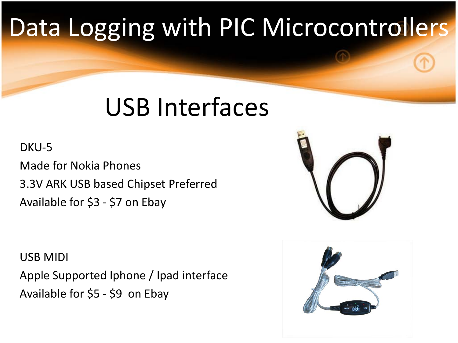# USB Interfaces

#### DKU-5

Made for Nokia Phones 3.3V ARK USB based Chipset Preferred Available for \$3 - \$7 on Ebay

USB MIDI Apple Supported Iphone / Ipad interface Available for \$5 - \$9 on Ebay



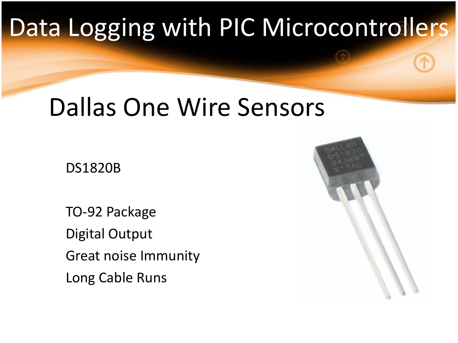### Dallas One Wire Sensors

DS1820B

TO-92 Package Digital Output Great noise Immunity Long Cable Runs

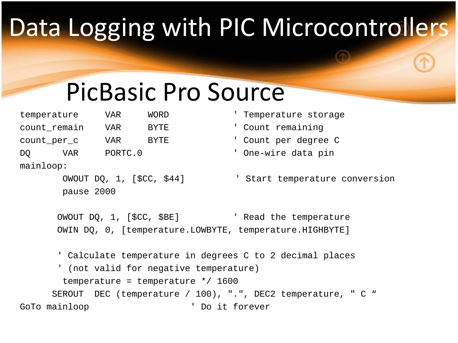# PicBasic Pro Source

| temperature  |  | VAR     | WORD        |
|--------------|--|---------|-------------|
| count_remain |  | VAR     | <b>BYTE</b> |
| count_per_c  |  | VAR     | <b>BYTE</b> |
| VAR<br>DO    |  | PORTC.0 |             |
| mainloop:    |  |         |             |

pause 2000

- Temperature storage
- ' Count remaining
- ' Count per degree C
- ' One-wire data pin

```
OWOUT DO, 1, [$CC, $44] The Start temperature conversion
```
OWOUT DQ, 1, [\$CC, \$BE] ' Read the temperature OWIN DQ, 0, [temperature.LOWBYTE, temperature.HIGHBYTE]

' Calculate temperature in degrees C to 2 decimal places ' (not valid for negative temperature) temperature = temperature  $*/1600$ SEROUT DEC (temperature / 100), ".", DEC2 temperature, " C " GoTo mainloop  $\qquad \qquad$  ' Do it forever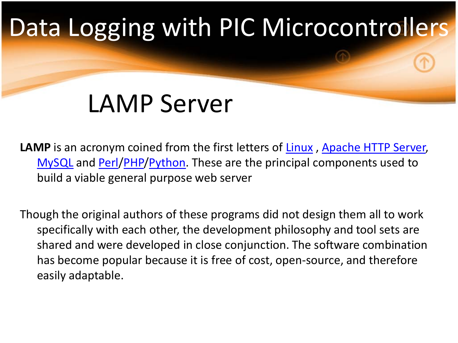# LAMP Server

**LAMP** is an acronym coined from the first letters of **Linux**, [Apache HTTP Server,](http://en.wikipedia.org/wiki/Apache_HTTP_Server) [MySQL](http://en.wikipedia.org/wiki/MySQL) and [Perl](http://en.wikipedia.org/wiki/Perl)[/PHP](http://en.wikipedia.org/wiki/PHP)/[Python](http://en.wikipedia.org/wiki/Python_%28programming_language%29). These are the principal components used to build a viable general purpose web server

Though the original authors of these programs did not design them all to work specifically with each other, the development philosophy and tool sets are shared and were developed in close conjunction. The software combination has become popular because it is free of cost, open-source, and therefore easily adaptable.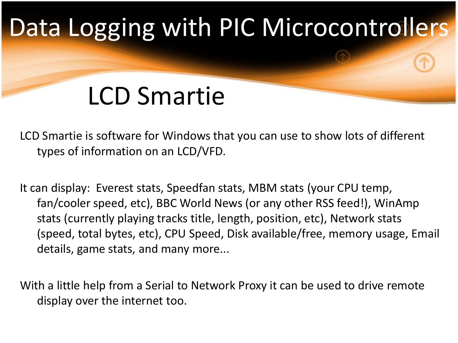# LCD Smartie

LCD Smartie is software for Windows that you can use to show lots of different types of information on an LCD/VFD.

It can display: Everest stats, Speedfan stats, MBM stats (your CPU temp, fan/cooler speed, etc), BBC World News (or any other RSS feed!), WinAmp stats (currently playing tracks title, length, position, etc), Network stats (speed, total bytes, etc), CPU Speed, Disk available/free, memory usage, Email details, game stats, and many more...

With a little help from a Serial to Network Proxy it can be used to drive remote display over the internet too.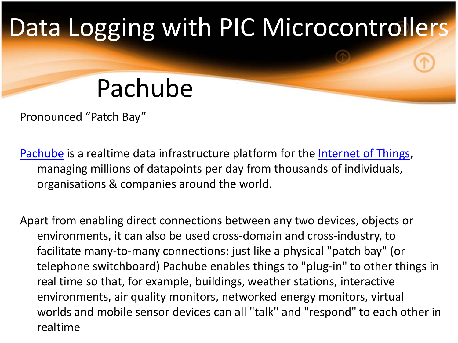# Pachube

Pronounced "Patch Bay"

[Pachube](http://www.pachube.com/) is a realtime data infrastructure platform for the [Internet of Things,](http://www.readwriteweb.com/archives/top_5_web_trends_of_2009_internet_of_things.php) managing millions of datapoints per day from thousands of individuals, organisations & companies around the world.

Apart from enabling direct connections between any two devices, objects or environments, it can also be used cross-domain and cross-industry, to facilitate many-to-many connections: just like a physical "patch bay" (or telephone switchboard) Pachube enables things to "plug-in" to other things in real time so that, for example, buildings, weather stations, interactive environments, air quality monitors, networked energy monitors, virtual worlds and mobile sensor devices can all "talk" and "respond" to each other in realtime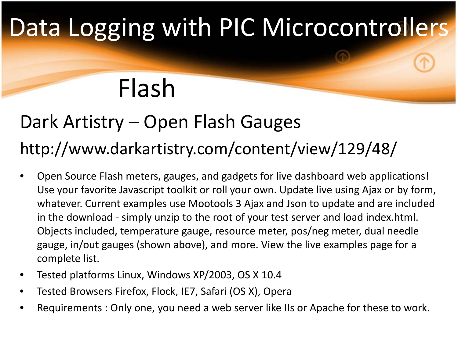# Flash

### Dark Artistry – Open Flash Gauges http://www.darkartistry.com/content/view/129/48/

- Open Source Flash meters, gauges, and gadgets for live dashboard web applications! Use your favorite Javascript toolkit or roll your own. Update live using Ajax or by form, whatever. Current examples use Mootools 3 Ajax and Json to update and are included in the download - simply unzip to the root of your test server and load index.html. Objects included, temperature gauge, resource meter, pos/neg meter, dual needle gauge, in/out gauges (shown above), and more. View the live examples page for a complete list.
- Tested platforms Linux, Windows XP/2003, OS X 10.4
- Tested Browsers Firefox, Flock, IE7, Safari (OS X), Opera
- Requirements : Only one, you need a web server like IIs or Apache for these to work.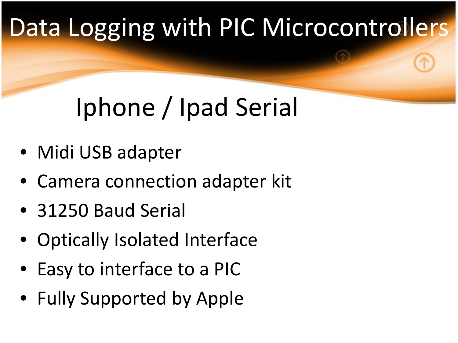# Iphone / Ipad Serial

- Midi USB adapter
- Camera connection adapter kit
- 31250 Baud Serial
- Optically Isolated Interface
- Easy to interface to a PIC
- Fully Supported by Apple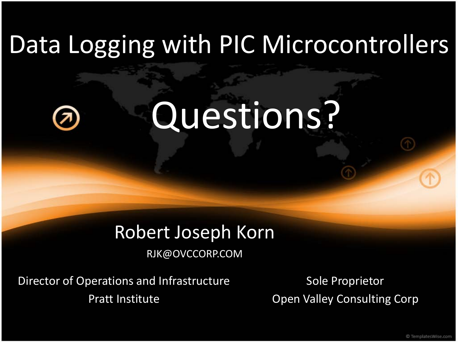# Questions?

#### Robert Joseph Korn

RJK@OVCCORP.COM

Director of Operations and Infrastructure Pratt Institute

Sole Proprietor Open Valley Consulting Corp

C TemplatesWise.com